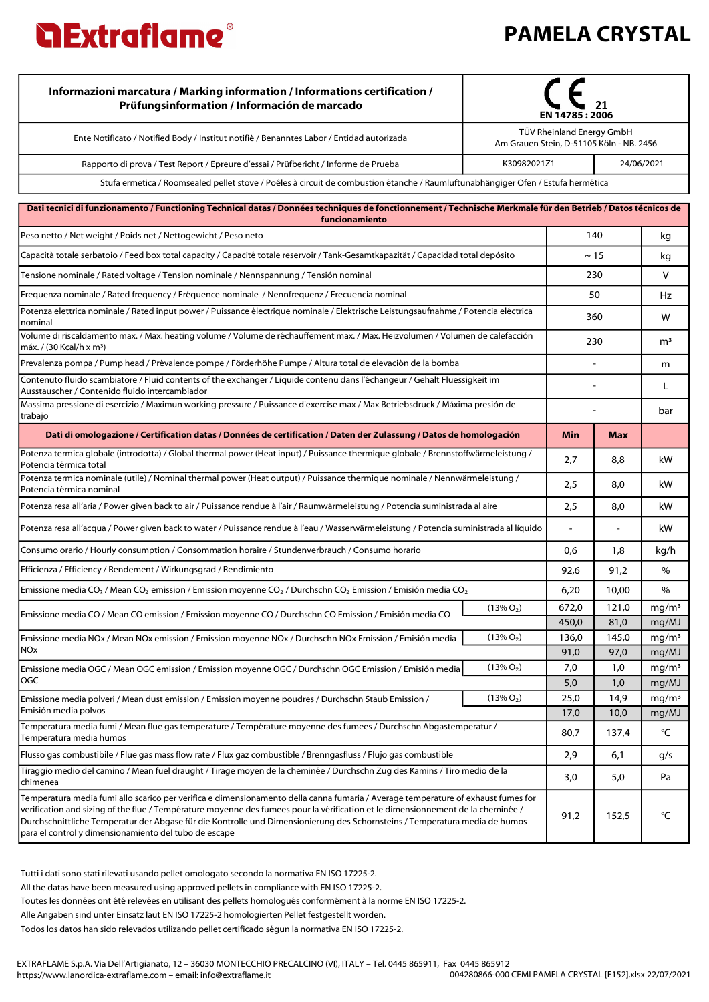

| Informazioni marcatura / Marking information / Informations certification /<br>Prüfungsinformation / Información de marcado                                                                                                                                                                                                                                                                                                                                   | EN 14785 : 2006 |                                                                       |                |                            |
|---------------------------------------------------------------------------------------------------------------------------------------------------------------------------------------------------------------------------------------------------------------------------------------------------------------------------------------------------------------------------------------------------------------------------------------------------------------|-----------------|-----------------------------------------------------------------------|----------------|----------------------------|
| Ente Notificato / Notified Body / Institut notifiè / Benanntes Labor / Entidad autorizada                                                                                                                                                                                                                                                                                                                                                                     |                 | TÜV Rheinland Energy GmbH<br>Am Grauen Stein, D-51105 Köln - NB. 2456 |                |                            |
| Rapporto di prova / Test Report / Epreure d'essai / Prüfbericht / Informe de Prueba                                                                                                                                                                                                                                                                                                                                                                           | K30982021Z1     |                                                                       |                | 24/06/2021                 |
| Stufa ermetica / Roomsealed pellet stove / Poêles à circuit de combustion étanche / Raumluftunabhängiger Ofen / Estufa hermética                                                                                                                                                                                                                                                                                                                              |                 |                                                                       |                |                            |
| Dati tecnici di funzionamento / Functioning Technical datas / Données techniques de fonctionnement / Technische Merkmale für den Betrieb / Datos técnicos de<br>funcionamiento                                                                                                                                                                                                                                                                                |                 |                                                                       |                |                            |
| Peso netto / Net weight / Poids net / Nettogewicht / Peso neto                                                                                                                                                                                                                                                                                                                                                                                                |                 | 140                                                                   |                |                            |
| Capacità totale serbatoio / Feed box total capacity / Capacité totale reservoir / Tank-Gesamtkapazität / Capacidad total depósito                                                                                                                                                                                                                                                                                                                             | $\sim$ 15       |                                                                       |                | kg                         |
| Tensione nominale / Rated voltage / Tension nominale / Nennspannung / Tensión nominal                                                                                                                                                                                                                                                                                                                                                                         |                 | 230                                                                   |                | v                          |
| Frequenza nominale / Rated frequency / Fréquence nominale / Nennfrequenz / Frecuencia nominal                                                                                                                                                                                                                                                                                                                                                                 |                 |                                                                       | 50             |                            |
| Potenza elettrica nominale / Rated input power / Puissance électrique nominale / Elektrische Leistungsaufnahme / Potencia eléctrica<br> nominal                                                                                                                                                                                                                                                                                                               |                 |                                                                       | 360            |                            |
| Volume di riscaldamento max. / Max. heating volume / Volume de réchauffement max. / Max. Heizvolumen / Volumen de calefacción<br> máx. / (30 Kcal/h x m3)                                                                                                                                                                                                                                                                                                     | 230             |                                                                       | m <sup>3</sup> |                            |
| Prevalenza pompa / Pump head / Prévalence pompe / Förderhöhe Pumpe / Altura total de elevaciòn de la bomba                                                                                                                                                                                                                                                                                                                                                    |                 |                                                                       |                | m                          |
| Contenuto fluido scambiatore / Fluid contents of the exchanger / Liquide contenu dans l'échangeur / Gehalt Fluessigkeit im<br>Ausstauscher / Contenido fluido intercambiador                                                                                                                                                                                                                                                                                  |                 |                                                                       |                | L                          |
| Massima pressione di esercizio / Maximun working pressure / Puissance d'exercise max / Max Betriebsdruck / Máxima presión de<br> trabajo                                                                                                                                                                                                                                                                                                                      |                 |                                                                       |                |                            |
| Dati di omologazione / Certification datas / Données de certification / Daten der Zulassung / Datos de homologación                                                                                                                                                                                                                                                                                                                                           |                 | Min                                                                   | Max            |                            |
| Potenza termica globale (introdotta) / Global thermal power (Heat input) / Puissance thermique globale / Brennstoffwärmeleistung /<br>Potencia térmica total                                                                                                                                                                                                                                                                                                  |                 | 2,7                                                                   | 8,8            | kW                         |
| Potenza termica nominale (utile) / Nominal thermal power (Heat output) / Puissance thermique nominale / Nennwärmeleistung /<br>Potencia térmica nominal                                                                                                                                                                                                                                                                                                       |                 | 2,5                                                                   | 8,0            | kW                         |
| Potenza resa all'aria / Power given back to air / Puissance rendue à l'air / Raumwärmeleistung / Potencia suministrada al aire                                                                                                                                                                                                                                                                                                                                |                 | 2,5                                                                   | 8,0            | kW                         |
| Potenza resa all'acqua / Power given back to water / Puissance rendue à l'eau / Wasserwärmeleistung / Potencia suministrada al líquido                                                                                                                                                                                                                                                                                                                        |                 |                                                                       |                | kW                         |
| Consumo orario / Hourly consumption / Consommation horaire / Stundenverbrauch / Consumo horario                                                                                                                                                                                                                                                                                                                                                               |                 | 0,6                                                                   | 1,8            | kg/h                       |
| Efficienza / Efficiency / Rendement / Wirkungsgrad / Rendimiento                                                                                                                                                                                                                                                                                                                                                                                              |                 | 92,6                                                                  | 91,2           | %                          |
| Emissione media CO <sub>2</sub> / Mean CO <sub>2</sub> emission / Emission moyenne CO <sub>2</sub> / Durchschn CO <sub>2</sub> Emission / Emisión media CO <sub>2</sub>                                                                                                                                                                                                                                                                                       |                 | 6,20                                                                  | 10,00          | %                          |
| Emissione media CO / Mean CO emission / Emission moyenne CO / Durchschn CO Emission / Emisión media CO                                                                                                                                                                                                                                                                                                                                                        | $(13\% O_2)$    | 672,0                                                                 | 121,0          | mq/m <sup>3</sup>          |
|                                                                                                                                                                                                                                                                                                                                                                                                                                                               |                 | 450,0                                                                 | 81,0           | mg/MJ                      |
| Emissione media NOx / Mean NOx emission / Emission moyenne NOx / Durchschn NOx Emission / Emisión media<br>NO <sub>x</sub>                                                                                                                                                                                                                                                                                                                                    | $(13\% O_2)$    | 136,0<br>91,0                                                         | 145,0<br>97,0  | mg/m <sup>3</sup>          |
| Emissione media OGC / Mean OGC emission / Emission moyenne OGC / Durchschn OGC Emission / Emisión media                                                                                                                                                                                                                                                                                                                                                       | $(13\% O_2)$    | 7,0                                                                   | 1,0            | mg/MJ<br>mg/m <sup>3</sup> |
| OGC                                                                                                                                                                                                                                                                                                                                                                                                                                                           |                 | 5,0                                                                   | 1,0            | mg/MJ                      |
| Emissione media polveri / Mean dust emission / Emission moyenne poudres / Durchschn Staub Emission /                                                                                                                                                                                                                                                                                                                                                          | $(13\% O_2)$    | 25,0                                                                  | 14,9           | mg/m <sup>3</sup>          |
| Emisión media polvos<br>Temperatura media fumi / Mean flue gas temperature / Température moyenne des fumees / Durchschn Abgastemperatur /                                                                                                                                                                                                                                                                                                                     |                 | 17,0                                                                  | 10,0           | mg/MJ                      |
| Temperatura media humos                                                                                                                                                                                                                                                                                                                                                                                                                                       |                 | 80,7                                                                  | 137,4          | °C                         |
| Flusso gas combustibile / Flue gas mass flow rate / Flux gaz combustible / Brenngasfluss / Flujo gas combustible                                                                                                                                                                                                                                                                                                                                              |                 | 2,9                                                                   | 6,1            | g/s                        |
| Tiraggio medio del camino / Mean fuel draught / Tirage moyen de la cheminée / Durchschn Zug des Kamins / Tiro medio de la<br> chimenea                                                                                                                                                                                                                                                                                                                        |                 | 3,0                                                                   | 5,0            | Pa                         |
| Temperatura media fumi allo scarico per verifica e dimensionamento della canna fumaria / Average temperature of exhaust fumes for<br>verification and sizing of the flue / Température moyenne des fumees pour la vérification et le dimensionnement de la cheminée /<br>Durchschnittliche Temperatur der Abgase für die Kontrolle und Dimensionierung des Schornsteins / Temperatura media de humos<br>para el control y dimensionamiento del tubo de escape |                 | 91,2                                                                  | 152,5          | °C                         |
|                                                                                                                                                                                                                                                                                                                                                                                                                                                               |                 |                                                                       |                |                            |

Tutti i dati sono stati rilevati usando pellet omologato secondo la normativa EN ISO 17225-2.

All the datas have been measured using approved pellets in compliance with EN ISO 17225-2.

Toutes les données ont été relevées en utilisant des pellets homologués conformément à la norme EN ISO 17225-2.

Alle Angaben sind unter Einsatz laut EN ISO 17225-2 homologierten Pellet festgestellt worden.

Todos los datos han sido relevados utilizando pellet certificado ségun la normativa EN ISO 17225-2.